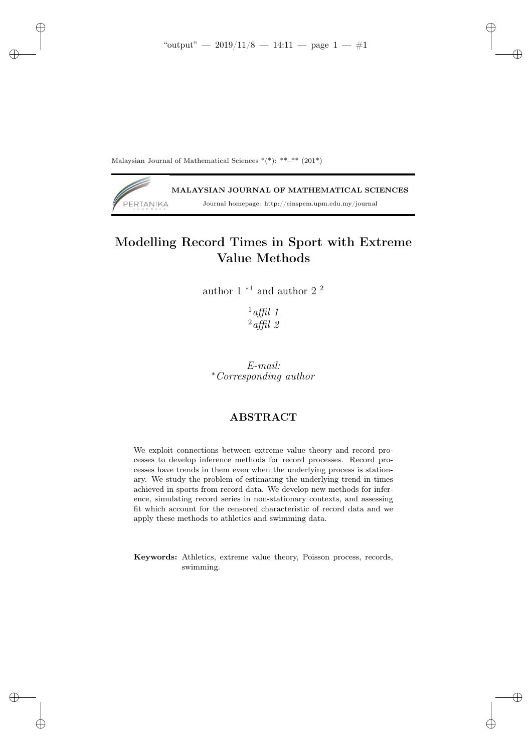✐

✐

✐

Malaysian Journal of Mathematical Sciences  $*(*)$ :  $**-*$  (201\*)

✐

✐

✐

✐

MALAYSIAN JOURNAL OF MATHEMATICAL SCIENCES PERTANIKA Journal homepage: http://einspem.upm.edu.my/journal

# Modelling Record Times in Sport with Extreme Value Methods

author 1 $^{\ast1}$  and author 2  $^2$ 

 $1$ affil 1  $^{2}$ affil 2

E-mail: <sup>∗</sup>Corresponding author

## ABSTRACT

We exploit connections between extreme value theory and record processes to develop inference methods for record processes. Record processes have trends in them even when the underlying process is stationary. We study the problem of estimating the underlying trend in times achieved in sports from record data. We develop new methods for inference, simulating record series in non-stationary contexts, and assessing fit which account for the censored characteristic of record data and we apply these methods to athletics and swimming data.

Keywords: Athletics, extreme value theory, Poisson process, records, swimming.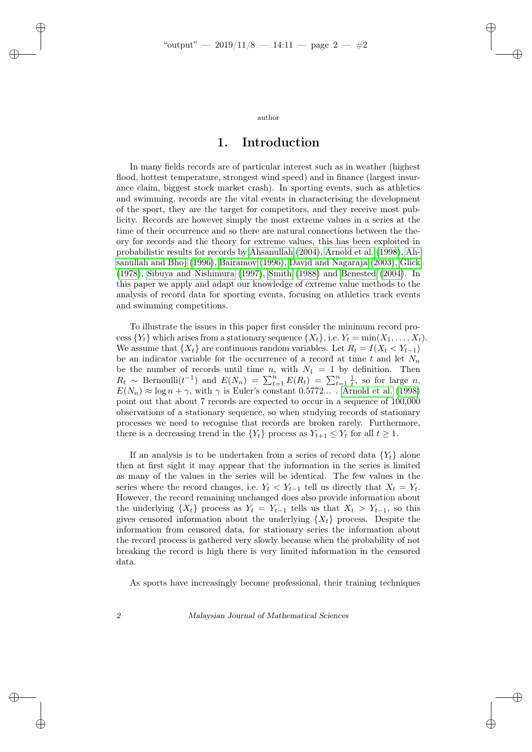✐

✐

✐

author

### 1. Introduction

In many fields records are of particular interest such as in weather (highest flood, hottest temperature, strongest wind speed) and in finance (largest insurance claim, biggest stock market crash). In sporting events, such as athletics and swimming, records are the vital events in characterising the development of the sport, they are the target for competitors, and they receive most publicity. Records are however simply the most extreme values in a series at the time of their occurrence and so there are natural connections between the theory for records and the theory for extreme values, this has been exploited in probabilistic results for records by [Ahsanullah](#page-19-0) [\(2004\)](#page-19-0), [Arnold et al.](#page-20-0) [\(1998\)](#page-20-0), [Ah](#page-19-1)[sanullah and Bhoj](#page-19-1) [\(1996\)](#page-19-1), [Bairamov](#page-20-1) [\(1996\)](#page-20-1), [David and Nagaraja](#page-20-2) [\(2003\)](#page-20-2), [Glick](#page-20-3) [\(1978\)](#page-20-3), [Sibuya and Nishimura](#page-20-4) [\(1997\)](#page-20-4), [Smith](#page-20-5) [\(1988\)](#page-20-5) and [Benested](#page-20-6) [\(2004\)](#page-20-6). In this paper we apply and adapt our knowledge of extreme value methods to the analysis of record data for sporting events, focusing on athletics track events and swimming competitions.

To illustrate the issues in this paper first consider the minimum record process  $\{Y_t\}$  which arises from a stationary sequence  $\{X_t\}$ , i.e.  $Y_t = \min(X_1, \ldots, X_t)$ . We assume that  $\{X_t\}$  are continuous random variables. Let  $R_t = I(X_t \lt Y_{t-1})$ be an indicator variable for the occurrence of a record at time t and let  $N_n$ be the number of records until time n, with  $N_1 = 1$  by definition. Then  $R_t \sim \text{Bernoulli}(t^{-1})$  and  $E(N_n) = \sum_{t=1}^n E(R_t) = \sum_{t=1}^n \frac{1}{t}$ , so for large n,  $E(N_n) \approx \log n + \gamma$ , with  $\gamma$  is Euler's constant 0.5772.... [Arnold et al.](#page-20-0) [\(1998\)](#page-20-0) point out that about 7 records are expected to occur in a sequence of 100,000 observations of a stationary sequence, so when studying records of stationary processes we need to recognise that records are broken rarely. Furthermore, there is a decreasing trend in the  $\{Y_t\}$  process as  $Y_{t+1} \leq Y_t$  for all  $t \geq 1$ .

If an analysis is to be undertaken from a series of record data  $\{Y_t\}$  alone then at first sight it may appear that the information in the series is limited as many of the values in the series will be identical. The few values in the series where the record changes, i.e.  $Y_t < Y_{t-1}$  tell us directly that  $X_t = Y_t$ . However, the record remaining unchanged does also provide information about the underlying  $\{X_t\}$  process as  $Y_t = Y_{t-1}$  tells us that  $X_t > Y_{t-1}$ , so this gives censored information about the underlying  $\{X_t\}$  process. Despite the information from censored data, for stationary series the information about the record process is gathered very slowly because when the probability of not breaking the record is high there is very limited information in the censored data.

As sports have increasingly become professional, their training techniques

✐

✐

✐

✐

2 Malaysian Journal of Mathematical Sciences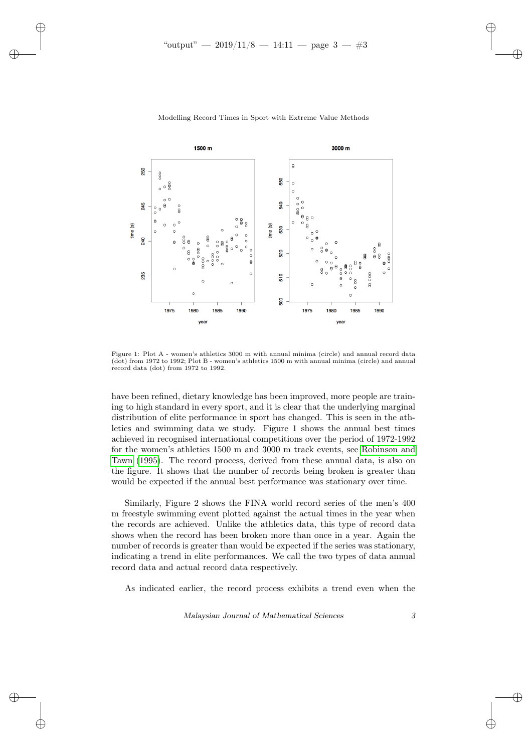✐

✐

✐

<span id="page-2-0"></span>

#### Modelling Record Times in Sport with Extreme Value Methods

Figure 1: Plot A - women's athletics 3000 m with annual minima (circle) and annual record data (dot) from 1972 to 1992; Plot B - women's athletics 1500 m with annual minima (circle) and annual record data (dot) from 1972 to 1992.

have been refined, dietary knowledge has been improved, more people are training to high standard in every sport, and it is clear that the underlying marginal distribution of elite performance in sport has changed. This is seen in the athletics and swimming data we study. Figure 1 shows the annual best times achieved in recognised international competitions over the period of 1972-1992 for the women's athletics 1500 m and 3000 m track events, see [Robinson and](#page-20-7) [Tawn](#page-20-7) [\(1995\)](#page-20-7). The record process, derived from these annual data, is also on the figure. It shows that the number of records being broken is greater than would be expected if the annual best performance was stationary over time.

Similarly, Figure 2 shows the FINA world record series of the men's 400 m freestyle swimming event plotted against the actual times in the year when the records are achieved. Unlike the athletics data, this type of record data shows when the record has been broken more than once in a year. Again the number of records is greater than would be expected if the series was stationary, indicating a trend in elite performances. We call the two types of data annual record data and actual record data respectively.

As indicated earlier, the record process exhibits a trend even when the

Malaysian Journal of Mathematical Sciences 3

✐

✐

✐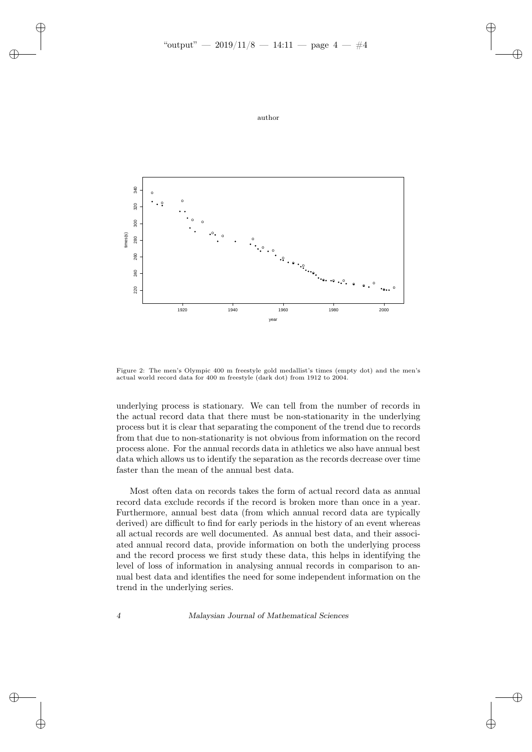





Figure 2: The men's Olympic 400 m freestyle gold medallist's times (empty dot) and the men's actual world record data for 400 m freestyle (dark dot) from 1912 to 2004.

underlying process is stationary. We can tell from the number of records in the actual record data that there must be non-stationarity in the underlying process but it is clear that separating the component of the trend due to records from that due to non-stationarity is not obvious from information on the record process alone. For the annual records data in athletics we also have annual best data which allows us to identify the separation as the records decrease over time faster than the mean of the annual best data.

Most often data on records takes the form of actual record data as annual record data exclude records if the record is broken more than once in a year. Furthermore, annual best data (from which annual record data are typically derived) are difficult to find for early periods in the history of an event whereas all actual records are well documented. As annual best data, and their associated annual record data, provide information on both the underlying process and the record process we first study these data, this helps in identifying the level of loss of information in analysing annual records in comparison to annual best data and identifies the need for some independent information on the trend in the underlying series.

✐

✐

✐

✐

4 Malaysian Journal of Mathematical Sciences

✐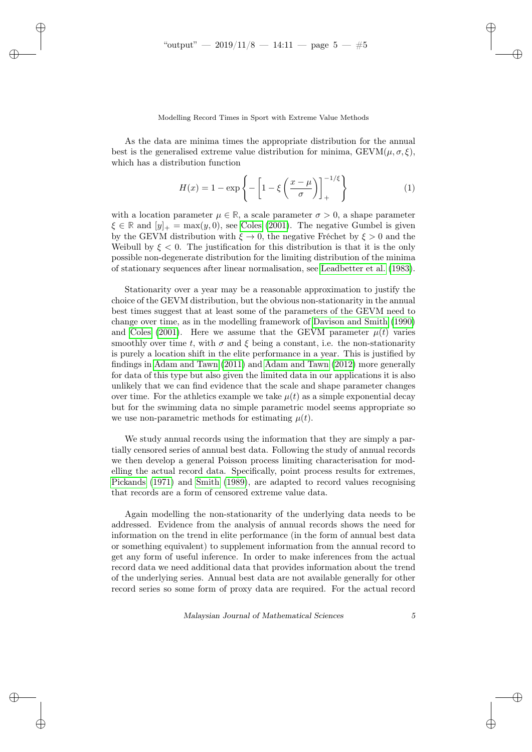✐

✐

✐

### Modelling Record Times in Sport with Extreme Value Methods

As the data are minima times the appropriate distribution for the annual best is the generalised extreme value distribution for minima,  $GEVM(\mu, \sigma, \xi)$ . which has a distribution function

$$
H(x) = 1 - \exp\left\{-\left[1 - \xi \left(\frac{x-\mu}{\sigma}\right)\right]_+\right\}^{-1/\xi} \tag{1}
$$

with a location parameter  $\mu \in \mathbb{R}$ , a scale parameter  $\sigma > 0$ , a shape parameter  $\xi \in \mathbb{R}$  and  $[y]_+ = \max(y, 0)$ , see [Coles](#page-20-8) [\(2001\)](#page-20-8). The negative Gumbel is given by the GEVM distribution with  $\xi \to 0$ , the negative Fréchet by  $\xi > 0$  and the Weibull by  $\xi < 0$ . The justification for this distribution is that it is the only possible non-degenerate distribution for the limiting distribution of the minima of stationary sequences after linear normalisation, see [Leadbetter et al.](#page-20-9) [\(1983\)](#page-20-9).

Stationarity over a year may be a reasonable approximation to justify the choice of the GEVM distribution, but the obvious non-stationarity in the annual best times suggest that at least some of the parameters of the GEVM need to change over time, as in the modelling framework of [Davison and Smith](#page-20-10) [\(1990\)](#page-20-10) and [Coles](#page-20-8) [\(2001\)](#page-20-8). Here we assume that the GEVM parameter  $\mu(t)$  varies smoothly over time t, with  $\sigma$  and  $\xi$  being a constant, i.e. the non-stationarity is purely a location shift in the elite performance in a year. This is justified by findings in [Adam and Tawn](#page-19-2) [\(2011\)](#page-19-2) and [Adam and Tawn](#page-19-3) [\(2012\)](#page-19-3) more generally for data of this type but also given the limited data in our applications it is also unlikely that we can find evidence that the scale and shape parameter changes over time. For the athletics example we take  $\mu(t)$  as a simple exponential decay but for the swimming data no simple parametric model seems appropriate so we use non-parametric methods for estimating  $\mu(t)$ .

We study annual records using the information that they are simply a partially censored series of annual best data. Following the study of annual records we then develop a general Poisson process limiting characterisation for modelling the actual record data. Specifically, point process results for extremes, [Pickands](#page-20-11) [\(1971\)](#page-20-11) and [Smith](#page-20-12) [\(1989\)](#page-20-12), are adapted to record values recognising that records are a form of censored extreme value data.

Again modelling the non-stationarity of the underlying data needs to be addressed. Evidence from the analysis of annual records shows the need for information on the trend in elite performance (in the form of annual best data or something equivalent) to supplement information from the annual record to get any form of useful inference. In order to make inferences from the actual record data we need additional data that provides information about the trend of the underlying series. Annual best data are not available generally for other record series so some form of proxy data are required. For the actual record

Malaysian Journal of Mathematical Sciences 5

✐

✐

✐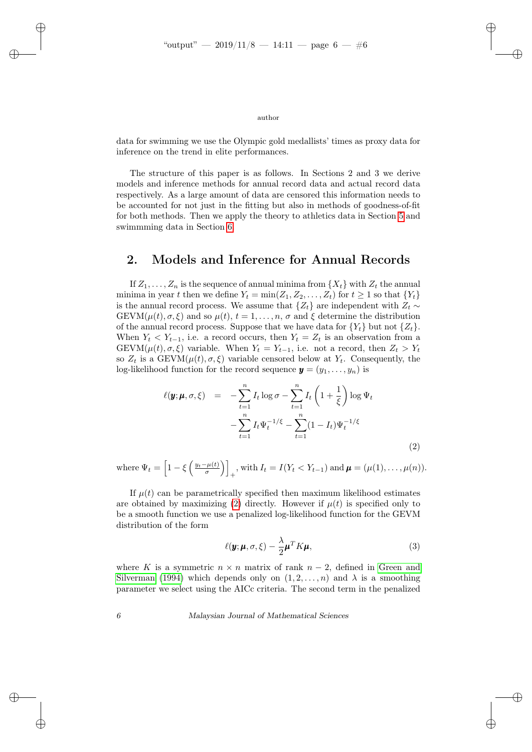✐

✐

✐

### author

data for swimming we use the Olympic gold medallists' times as proxy data for inference on the trend in elite performances.

The structure of this paper is as follows. In Sections 2 and 3 we derive models and inference methods for annual record data and actual record data respectively. As a large amount of data are censored this information needs to be accounted for not just in the fitting but also in methods of goodness-of-fit for both methods. Then we apply the theory to athletics data in Section [5](#page-13-0) and swimmming data in Section [6.](#page-16-0)

## 2. Models and Inference for Annual Records

If  $Z_1, \ldots, Z_n$  is the sequence of annual minima from  $\{X_t\}$  with  $Z_t$  the annual minima in year t then we define  $Y_t = \min(Z_1, Z_2, \ldots, Z_t)$  for  $t \ge 1$  so that  $\{Y_t\}$ is the annual record process. We assume that  $\{Z_t\}$  are independent with  $Z_t \sim$ GEVM( $\mu(t), \sigma, \xi$ ) and so  $\mu(t), t = 1, \ldots, n, \sigma$  and  $\xi$  determine the distribution of the annual record process. Suppose that we have data for  ${Y_t}$  but not  ${Z_t}$ . When  $Y_t \leq Y_{t-1}$ , i.e. a record occurs, then  $Y_t = Z_t$  is an observation from a GEVM( $\mu(t), \sigma, \xi$ ) variable. When  $Y_t = Y_{t-1}$ , i.e. not a record, then  $Z_t > Y_t$ so  $Z_t$  is a GEVM $(\mu(t), \sigma, \xi)$  variable censored below at  $Y_t$ . Consequently, the log-likelihood function for the record sequence  $\mathbf{y} = (y_1, \ldots, y_n)$  is

<span id="page-5-0"></span>
$$
\ell(\pmb{y}; \pmb{\mu}, \sigma, \xi) = -\sum_{t=1}^{n} I_t \log \sigma - \sum_{t=1}^{n} I_t \left( 1 + \frac{1}{\xi} \right) \log \Psi_t \n- \sum_{t=1}^{n} I_t \Psi_t^{-1/\xi} - \sum_{t=1}^{n} (1 - I_t) \Psi_t^{-1/\xi}
$$
\n(2)

where  $\Psi_t = \left[1 - \xi \left(\frac{y_t - \mu(t)}{\sigma}\right)\right]$  $_+$ , with  $I_t = I(Y_t < Y_{t-1})$  and  $\boldsymbol{\mu} = (\mu(1), \dots, \mu(n)).$ 

If  $\mu(t)$  can be parametrically specified then maximum likelihood estimates are obtained by maximizing [\(2\)](#page-5-0) directly. However if  $\mu(t)$  is specified only to be a smooth function we use a penalized log-likelihood function for the GEVM distribution of the form

<span id="page-5-1"></span>
$$
\ell(\mathbf{y}; \boldsymbol{\mu}, \sigma, \xi) - \frac{\lambda}{2} \boldsymbol{\mu}^T K \boldsymbol{\mu}, \tag{3}
$$

where K is a symmetric  $n \times n$  matrix of rank  $n-2$ , defined in [Green and](#page-20-13) [Silverman](#page-20-13) [\(1994\)](#page-20-13) which depends only on  $(1, 2, \ldots, n)$  and  $\lambda$  is a smoothing parameter we select using the AICc criteria. The second term in the penalized

6 Malaysian Journal of Mathematical Sciences

✐

✐

✐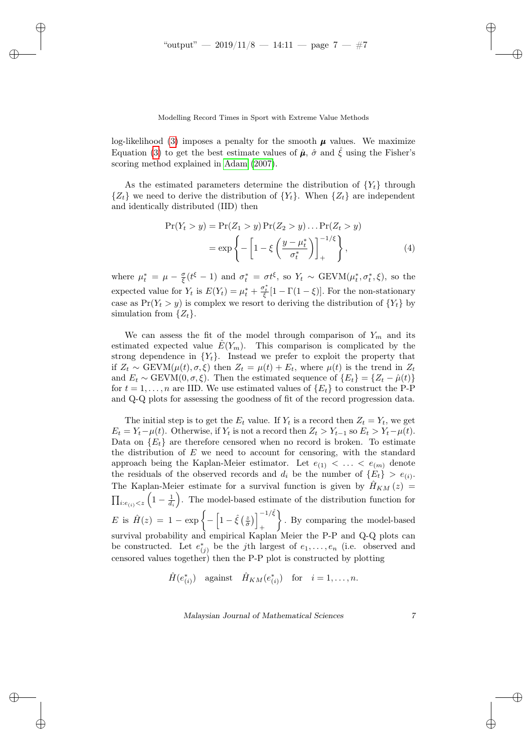✐

✐

✐

Modelling Record Times in Sport with Extreme Value Methods

log-likelihood [\(3\)](#page-5-1) imposes a penalty for the smooth  $\mu$  values. We maximize Equation [\(3\)](#page-5-1) to get the best estimate values of  $\hat{\mu}$ ,  $\hat{\sigma}$  and  $\hat{\xi}$  using the Fisher's scoring method explained in [Adam](#page-19-4) [\(2007\)](#page-19-4).

As the estimated parameters determine the distribution of  ${Y<sub>t</sub>}$  through  $\{Z_t\}$  we need to derive the distribution of  $\{Y_t\}$ . When  $\{Z_t\}$  are independent and identically distributed (IID) then

$$
\Pr(Y_t > y) = \Pr(Z_1 > y) \Pr(Z_2 > y) \dots \Pr(Z_t > y) \\
= \exp\left\{-\left[1 - \xi \left(\frac{y - \mu_t^*}{\sigma_t^*}\right)\right]_+^{-1/\xi}\right\},\tag{4}
$$

where  $\mu_t^* = \mu - \frac{\sigma}{\xi}(t^{\xi} - 1)$  and  $\sigma_t^* = \sigma t^{\xi}$ , so  $Y_t \sim \text{GEVM}(\mu_t^*, \sigma_t^*, \xi)$ , so the expected value for  $Y_t$  is  $E(Y_t) = \mu_t^* + \frac{\sigma_t^*}{\xi} [1 - \Gamma(1 - \xi)].$  For the non-stationary case as  $Pr(Y_t > y)$  is complex we resort to deriving the distribution of  $\{Y_t\}$  by simulation from  $\{Z_t\}.$ 

We can assess the fit of the model through comparison of  $Y_m$  and its estimated expected value  $\hat{E}(Y_m)$ . This comparison is complicated by the strong dependence in  ${Y_t}$ . Instead we prefer to exploit the property that if  $Z_t \sim \text{GEVM}(\mu(t), \sigma, \xi)$  then  $Z_t = \mu(t) + E_t$ , where  $\mu(t)$  is the trend in  $Z_t$ and  $E_t \sim \text{GEVM}(0, \sigma, \xi)$ . Then the estimated sequence of  $\{E_t\} = \{Z_t - \hat{\mu}(t)\}\$ for  $t = 1, \ldots, n$  are IID. We use estimated values of  $\{E_t\}$  to construct the P-P and Q-Q plots for assessing the goodness of fit of the record progression data.

The initial step is to get the  $E_t$  value. If  $Y_t$  is a record then  $Z_t = Y_t$ , we get  $E_t = Y_t - \mu(t)$ . Otherwise, if  $Y_t$  is not a record then  $Z_t > Y_{t-1}$  so  $E_t > Y_t - \mu(t)$ . Data on  ${E_t}$  are therefore censored when no record is broken. To estimate the distribution of  $E$  we need to account for censoring, with the standard approach being the Kaplan-Meier estimator. Let  $e_{(1)} < \ldots < e_{(m)}$  denote the residuals of the observed records and  $d_i$  be the number of  $\{E_t\} > e_{(i)}$ . The Kaplan-Meier estimate for a survival function is given by  $\hat{H}_{KM}(z)$  =  $\prod_{i:e_{(i)}. The model-based estimate of the distribution function for$ E is  $\hat{H}(z) = 1 - \exp \left\{-\left[1 - \hat{\xi}\left(\frac{z}{\hat{\sigma}}\right)\right]_1^{-1/\hat{\xi}}\right\}$ + . By comparing the model-based survival probability and empirical Kaplan Meier the P-P and Q-Q plots can be constructed. Let  $e_{(j)}^*$  be the j<sup>th</sup> largest of  $e_1, \ldots, e_n$  (i.e. observed and censored values together) then the P-P plot is constructed by plotting

 $\hat{H}(e_{(i)}^*)$  against  $\hat{H}_{KM}(e_{(i)}^*)$  for  $i = 1, ..., n$ .

Malaysian Journal of Mathematical Sciences 7

✐

✐

✐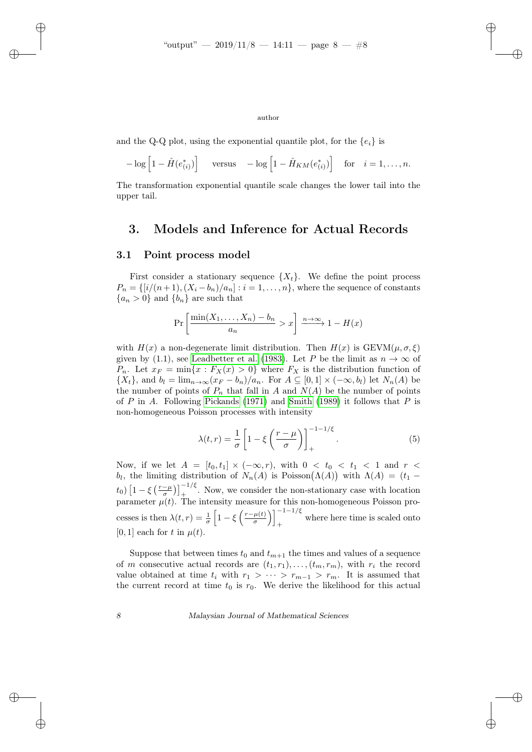✐

#### author

and the Q-Q plot, using the exponential quantile plot, for the  $\{e_i\}$  is

$$
-\log\left[1-\hat{H}(e_{(i)}^*)\right] \quad \text{versus} \quad -\log\left[1-\hat{H}_{KM}(e_{(i)}^*)\right] \quad \text{for} \quad i=1,\ldots,n.
$$

The transformation exponential quantile scale changes the lower tail into the upper tail.

### 3. Models and Inference for Actual Records

### 3.1 Point process model

✐

✐

First consider a stationary sequence  $\{X_t\}$ . We define the point process  $P_n = \{[i/(n+1), (X_i - b_n)/a_n] : i = 1, \ldots, n\}$ , where the sequence of constants  ${a_n > 0}$  and  ${b_n}$  are such that

$$
\Pr\left[\frac{\min(X_1,\ldots,X_n)-b_n}{a_n} > x\right] \xrightarrow{n\to\infty} 1 - H(x)
$$

with  $H(x)$  a non-degenerate limit distribution. Then  $H(x)$  is GEVM( $\mu, \sigma, \xi$ ) given by (1.1), see [Leadbetter et al.](#page-20-9) [\(1983\)](#page-20-9). Let P be the limit as  $n \to \infty$  of  $P_n$ . Let  $x_F = \min\{x : F_X(x) > 0\}$  where  $F_X$  is the distribution function of  $\{X_t\}$ , and  $b_l = \lim_{n \to \infty} (x_F - b_n)/a_n$ . For  $A \subseteq [0,1] \times (-\infty, b_l)$  let  $N_n(A)$  be the number of points of  $P_n$  that fall in A and  $N(A)$  be the number of points of P in A. Following [Pickands](#page-20-11) [\(1971\)](#page-20-11) and [Smith](#page-20-12) [\(1989\)](#page-20-12) it follows that P is non-homogeneous Poisson processes with intensity

<span id="page-7-0"></span>
$$
\lambda(t,r) = \frac{1}{\sigma} \left[ 1 - \xi \left( \frac{r - \mu}{\sigma} \right) \right]_+^{-1 - 1/\xi}.
$$
\n(5)

Now, if we let  $A = [t_0, t_1] \times (-\infty, r)$ , with  $0 < t_0 < t_1 < 1$  and  $r <$ b<sub>l</sub>, the limiting distribution of  $N_n(A)$  is Poisson $(\Lambda(A))$  with  $\Lambda(A) = (t_1$  $t_0$ )  $\left[1-\xi\left(\frac{r-\mu}{\sigma}\right)\right]_+^{-1/\xi}$ . Now, we consider the non-stationary case with location parameter  $\mu(t)$ . The intensity measure for this non-homogeneous Poisson processes is then  $\lambda(t,r) = \frac{1}{\sigma} \left[1 - \xi \left(\frac{r-\mu(t)}{\sigma}\right)\right]$  $\left[\frac{\mu(t)}{\sigma}\right)\right]_+^{-1-1/\xi}$ + where here time is scaled onto [0, 1] each for t in  $\mu(t)$ .

Suppose that between times  $t_0$  and  $t_{m+1}$  the times and values of a sequence of m consecutive actual records are  $(t_1, r_1), \ldots, (t_m, r_m)$ , with  $r_i$  the record value obtained at time  $t_i$  with  $r_1 > \cdots > r_{m-1} > r_m$ . It is assumed that the current record at time  $t_0$  is  $r_0$ . We derive the likelihood for this actual

8 Malaysian Journal of Mathematical Sciences

✐

✐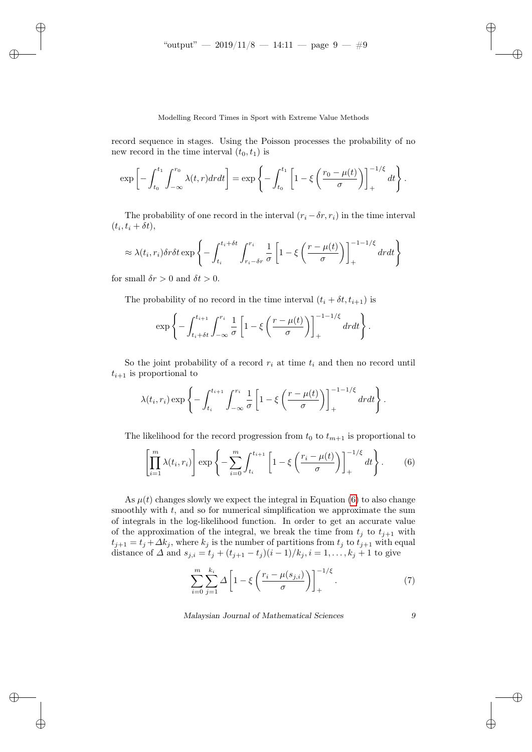#### Modelling Record Times in Sport with Extreme Value Methods

record sequence in stages. Using the Poisson processes the probability of no new record in the time interval  $(t_0, t_1)$  is

$$
\exp\left[-\int_{t_0}^{t_1}\int_{-\infty}^{r_0}\lambda(t,r)drdt\right]=\exp\left\{-\int_{t_0}^{t_1}\left[1-\xi\left(\frac{r_0-\mu(t)}{\sigma}\right)\right]_{+}^{-1/\xi}dt\right\}.
$$

The probability of one record in the interval  $(r_i - \delta r, r_i)$  in the time interval  $(t_i, t_i + \delta t),$ 

$$
\approx \lambda(t_i, r_i) \delta r \delta t \exp\left\{-\int_{t_i}^{t_i + \delta t} \int_{r_i - \delta r}^{r_i} \frac{1}{\sigma} \left[1 - \xi \left(\frac{r - \mu(t)}{\sigma}\right)\right]_{+}^{-1 - 1/\xi} dr dt\right\}
$$

for small  $\delta r > 0$  and  $\delta t > 0$ .

✐

✐

✐

✐

The probability of no record in the time interval  $(t_i + \delta t, t_{i+1})$  is

$$
\exp\left\{-\int_{t_i+\delta t}^{t_{i+1}} \int_{-\infty}^{r_i} \frac{1}{\sigma} \left[1-\xi\left(\frac{r-\mu(t)}{\sigma}\right)\right]_{+}^{-1-1/\xi} dr dt\right\}.
$$

So the joint probability of a record  $r_i$  at time  $t_i$  and then no record until  $t_{i+1}$  is proportional to

$$
\lambda(t_i,r_i) \exp\left\{-\int_{t_i}^{t_{i+1}} \int_{-\infty}^{r_i} \frac{1}{\sigma} \left[1-\xi\left(\frac{r-\mu(t)}{\sigma}\right)\right]_{+}^{-1-1/\xi} dr dt\right\}.
$$

The likelihood for the record progression from  $t_0$  to  $t_{m+1}$  is proportional to

<span id="page-8-0"></span>
$$
\left[\prod_{i=1}^{m} \lambda(t_i, r_i)\right] \exp\left\{-\sum_{i=0}^{m} \int_{t_i}^{t_{i+1}} \left[1 - \xi\left(\frac{r_i - \mu(t)}{\sigma}\right)\right]_{+}^{-1/\xi} dt\right\}.
$$
 (6)

As  $\mu(t)$  changes slowly we expect the integral in Equation [\(6\)](#page-8-0) to also change smoothly with  $t$ , and so for numerical simplification we approximate the sum of integrals in the log-likelihood function. In order to get an accurate value of the approximation of the integral, we break the time from  $t_j$  to  $t_{j+1}$  with  $t_{j+1} = t_j + \Delta k_j$ , where  $k_j$  is the number of partitions from  $t_j$  to  $t_{j+1}$  with equal distance of  $\Delta$  and  $s_{j,i} = t_j + (t_{j+1} - t_j)(i-1)/k_j, i = 1, ..., k_j + 1$  to give

<span id="page-8-1"></span>
$$
\sum_{i=0}^{m} \sum_{j=1}^{k_i} \Delta \left[ 1 - \xi \left( \frac{r_i - \mu(s_{j,i})}{\sigma} \right) \right]_+^{-1/\xi} . \tag{7}
$$

Malaysian Journal of Mathematical Sciences 9

✐

✐

✐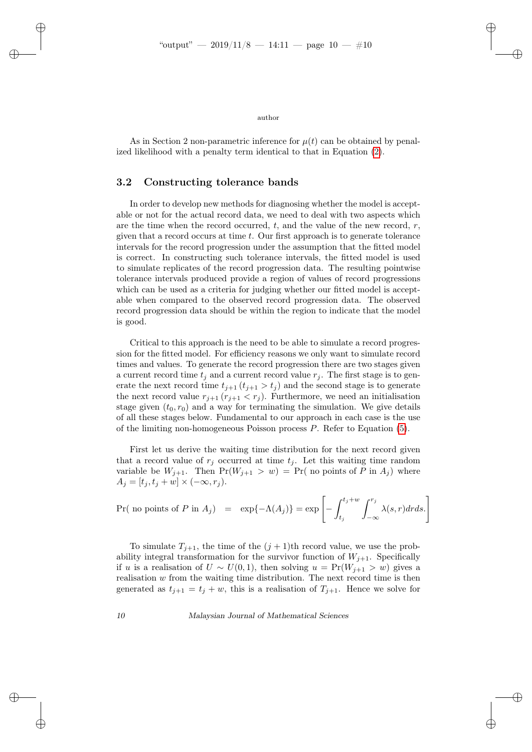✐

✐

author

As in Section 2 non-parametric inference for  $\mu(t)$  can be obtained by penalized likelihood with a penalty term identical to that in Equation [\(2\)](#page-5-0).

### 3.2 Constructing tolerance bands

✐

✐

✐

✐

In order to develop new methods for diagnosing whether the model is acceptable or not for the actual record data, we need to deal with two aspects which are the time when the record occurred, t, and the value of the new record,  $r$ , given that a record occurs at time  $t$ . Our first approach is to generate tolerance intervals for the record progression under the assumption that the fitted model is correct. In constructing such tolerance intervals, the fitted model is used to simulate replicates of the record progression data. The resulting pointwise tolerance intervals produced provide a region of values of record progressions which can be used as a criteria for judging whether our fitted model is acceptable when compared to the observed record progression data. The observed record progression data should be within the region to indicate that the model is good.

Critical to this approach is the need to be able to simulate a record progression for the fitted model. For efficiency reasons we only want to simulate record times and values. To generate the record progression there are two stages given a current record time  $t_i$  and a current record value  $r_i$ . The first stage is to generate the next record time  $t_{j+1}$  ( $t_{j+1} > t_j$ ) and the second stage is to generate the next record value  $r_{j+1}$   $(r_{j+1} < r_j)$ . Furthermore, we need an initialisation stage given  $(t_0, r_0)$  and a way for terminating the simulation. We give details of all these stages below. Fundamental to our approach in each case is the use of the limiting non-homogeneous Poisson process P. Refer to Equation [\(5\)](#page-7-0).

First let us derive the waiting time distribution for the next record given that a record value of  $r_j$  occurred at time  $t_j$ . Let this waiting time random variable be  $W_{j+1}$ . Then  $Pr(W_{j+1} > w) = Pr(m)$  points of P in  $A_j$ ) where  $A_j = [t_j, t_j + w] \times (-\infty, r_j).$ 

$$
\Pr(\text{ no points of } P \text{ in } A_j) = \exp\{-\Lambda(A_j)\} = \exp\left[-\int_{t_j}^{t_j+w} \int_{-\infty}^{r_j} \lambda(s,r)dr ds.\right]
$$

To simulate  $T_{j+1}$ , the time of the  $(j + 1)$ th record value, we use the probability integral transformation for the survivor function of  $W_{j+1}$ . Specifically if u is a realisation of  $U \sim U(0, 1)$ , then solving  $u = Pr(W_{j+1} > w)$  gives a realisation w from the waiting time distribution. The next record time is then generated as  $t_{j+1} = t_j + w$ , this is a realisation of  $T_{j+1}$ . Hence we solve for

10 Malaysian Journal of Mathematical Sciences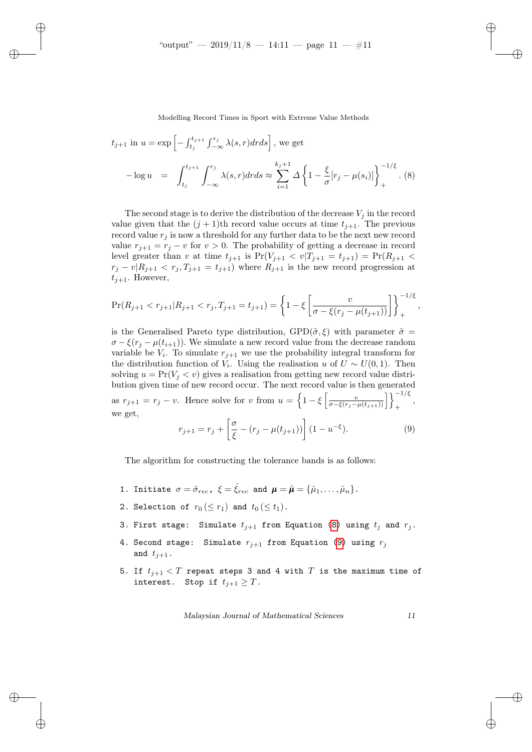✐

✐

✐

Modelling Record Times in Sport with Extreme Value Methods

<span id="page-10-0"></span>
$$
t_{j+1} \text{ in } u = \exp\left[-\int_{t_j}^{t_{j+1}} \int_{-\infty}^{r_j} \lambda(s, r) dr ds\right], \text{ we get}
$$
  

$$
-\log u = \int_{t_j}^{t_{j+1}} \int_{-\infty}^{r_j} \lambda(s, r) dr ds \approx \sum_{i=1}^{k_j+1} \Delta \left\{1 - \frac{\xi}{\sigma} [r_j - \mu(s_i)]\right\}_{+}^{-1/\xi}.
$$
 (8)

The second stage is to derive the distribution of the decrease  $V_i$  in the record value given that the  $(j + 1)$ th record value occurs at time  $t_{j+1}$ . The previous record value  $r_i$  is now a threshold for any further data to be the next new record value  $r_{j+1} = r_j - v$  for  $v > 0$ . The probability of getting a decrease in record level greater than v at time  $t_{j+1}$  is  $Pr(V_{j+1} < v | T_{j+1} = t_{j+1}) = Pr(R_{j+1} <$  $r_j - v|R_{j+1} < r_j, T_{j+1} = t_{j+1}$  where  $R_{j+1}$  is the new record progression at  $t_{i+1}$ . However,

$$
\Pr(R_{j+1} < r_{j+1}|R_{j+1} < r_j, T_{j+1} = t_{j+1}) = \left\{ 1 - \xi \left[ \frac{v}{\sigma - \xi(r_j - \mu(t_{j+1}))} \right] \right\}_{+}^{-1/\xi},
$$

is the Generalised Pareto type distribution,  $GPD(\tilde{\sigma}, \xi)$  with parameter  $\tilde{\sigma} =$  $\sigma - \xi(r_i - \mu(t_{i+1}))$ . We simulate a new record value from the decrease random variable be  $V_i$ . To simulate  $r_{j+1}$  we use the probability integral transform for the distribution function of  $V_i$ . Using the realisation u of  $U \sim U(0, 1)$ . Then solving  $u = Pr(V_j < v)$  gives a realisation from getting new record value distribution given time of new record occur. The next record value is then generated as  $r_{j+1} = r_j - v$ . Hence solve for v from  $u = \left\{1 - \xi \left[\frac{v}{\sigma - \xi(r_j - \mu(t_{j+1}))}\right]\right\}_{+}^{-1/\xi}$ , we get,

<span id="page-10-1"></span>
$$
r_{j+1} = r_j + \left[\frac{\sigma}{\xi} - (r_j - \mu(t_{j+1}))\right] (1 - u^{-\xi}).
$$
\n(9)

The algorithm for constructing the tolerance bands is as follows:

- 1. Initiate  $\sigma = \hat{\sigma}_{rec}$ ,  $\xi = \hat{\xi}_{rec}$  and  $\boldsymbol{\mu} = \hat{\boldsymbol{\mu}} = {\hat{\mu}_{1}, \dots, \hat{\mu}_{n}}$ .
- 2. Selection of  $r_0 \, (\leq r_1)$  and  $t_0 \, (\leq t_1)$ .
- 3. First stage: Simulate  $t_{i+1}$  from Equation [\(8\)](#page-10-0) using  $t_i$  and  $r_i$ .
- 4. Second stage: Simulate  $r_{j+1}$  from Equation [\(9\)](#page-10-1) using  $r_j$ and  $t_{i+1}$ .
- 5. If  $t_{j+1} < T$  repeat steps 3 and 4 with  $T$  is the maximum time of interest. Stop if  $t_{i+1} \geq T$ .

Malaysian Journal of Mathematical Sciences 11

✐

✐

✐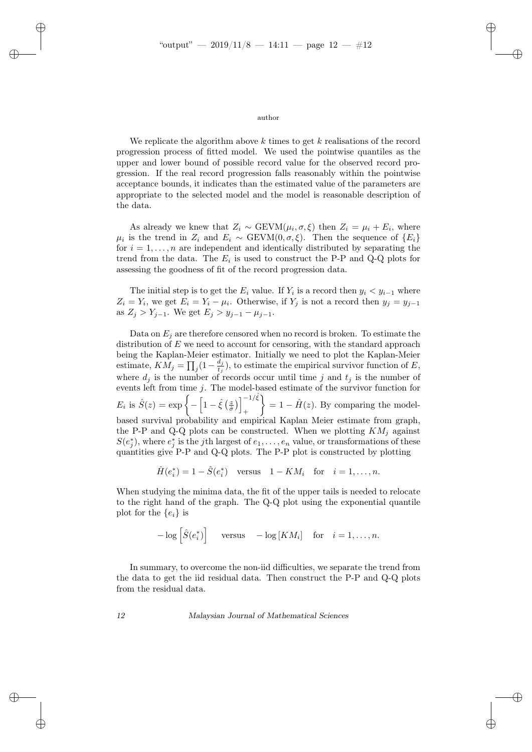✐

✐

✐

#### author

We replicate the algorithm above  $k$  times to get  $k$  realisations of the record progression process of fitted model. We used the pointwise quantiles as the upper and lower bound of possible record value for the observed record progression. If the real record progression falls reasonably within the pointwise acceptance bounds, it indicates than the estimated value of the parameters are appropriate to the selected model and the model is reasonable description of the data.

As already we knew that  $Z_i \sim \text{GEVM}(\mu_i, \sigma, \xi)$  then  $Z_i = \mu_i + E_i$ , where  $\mu_i$  is the trend in  $Z_i$  and  $E_i \sim \text{GEVM}(0, \sigma, \xi)$ . Then the sequence of  $\{E_i\}$ for  $i = 1, ..., n$  are independent and identically distributed by separating the trend from the data. The  $E_i$  is used to construct the P-P and Q-Q plots for assessing the goodness of fit of the record progression data.

The initial step is to get the  $E_i$  value. If  $Y_i$  is a record then  $y_i < y_{i-1}$  where  $Z_i = Y_i$ , we get  $E_i = Y_i - \mu_i$ . Otherwise, if  $Y_j$  is not a record then  $y_j = y_{j-1}$ as  $Z_j > Y_{j-1}$ . We get  $E_j > y_{j-1} - \mu_{j-1}$ .

Data on  $E_i$  are therefore censored when no record is broken. To estimate the distribution of  $E$  we need to account for censoring, with the standard approach being the Kaplan-Meier estimator. Initially we need to plot the Kaplan-Meier estimate,  $\overrightarrow{KM_j} = \prod_j (1 - \frac{d_j}{t_j})$  $\frac{a_j}{t_j}$ ), to estimate the empirical survivor function of E, where  $d_i$  is the number of records occur until time j and  $t_j$  is the number of events left from time  $j$ . The model-based estimate of the survivor function for  $E_i$  is  $\hat{S}(z) = \exp \left\{-\left[1-\hat{\xi}\left(\frac{z}{\hat{\sigma}}\right)\right]^{-1/\hat{\xi}}\right\}$ +  $\left\{\right\}= 1 - \hat{H}(z)$ . By comparing the modelbased survival probability and empirical Kaplan Meier estimate from graph, the P-P and Q-Q plots can be constructed. When we plotting  $KM_j$  against  $S(e_j^*)$ , where  $e_j^*$  is the jth largest of  $e_1, \ldots, e_n$  value, or transformations of these quantities give P-P and Q-Q plots. The P-P plot is constructed by plotting

 $\hat{H}(e_i^*) = 1 - \hat{S}(e_i^*)$  versus  $1 - KM_i$  for  $i = 1, ..., n$ .

When studying the minima data, the fit of the upper tails is needed to relocate to the right hand of the graph. The Q-Q plot using the exponential quantile plot for the  $\{e_i\}$  is

 $-\log\left[\hat{S}(e_i^*)\right]$  versus  $-\log\left[KM_i\right]$  for  $i=1,\ldots,n$ .

In summary, to overcome the non-iid difficulties, we separate the trend from the data to get the iid residual data. Then construct the P-P and Q-Q plots from the residual data.

12 Malaysian Journal of Mathematical Sciences

✐

✐

✐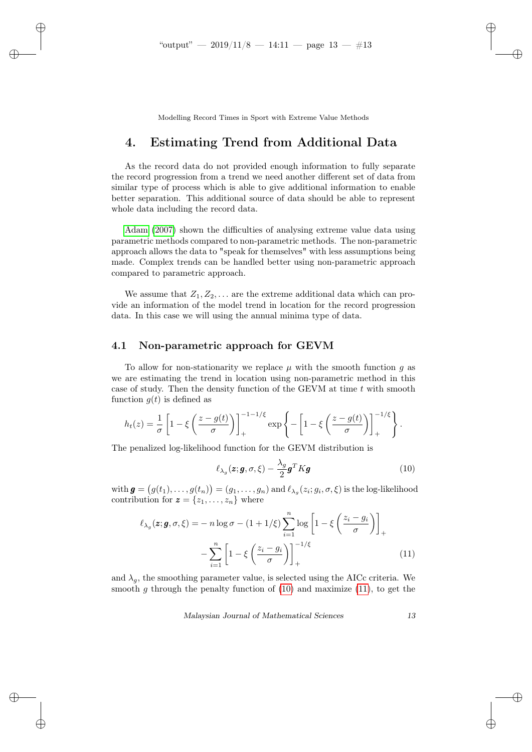✐

✐

✐

Modelling Record Times in Sport with Extreme Value Methods

## 4. Estimating Trend from Additional Data

As the record data do not provided enough information to fully separate the record progression from a trend we need another different set of data from similar type of process which is able to give additional information to enable better separation. This additional source of data should be able to represent whole data including the record data.

[Adam](#page-19-4) [\(2007\)](#page-19-4) shown the difficulties of analysing extreme value data using parametric methods compared to non-parametric methods. The non-parametric approach allows the data to "speak for themselves" with less assumptions being made. Complex trends can be handled better using non-parametric approach compared to parametric approach.

We assume that  $Z_1, Z_2, \ldots$  are the extreme additional data which can provide an information of the model trend in location for the record progression data. In this case we will using the annual minima type of data.

### 4.1 Non-parametric approach for GEVM

To allow for non-stationarity we replace  $\mu$  with the smooth function g as we are estimating the trend in location using non-parametric method in this case of study. Then the density function of the GEVM at time  $t$  with smooth function  $g(t)$  is defined as

$$
h_t(z) = \frac{1}{\sigma} \left[ 1 - \xi \left( \frac{z - g(t)}{\sigma} \right) \right]_+^{-1 - 1/\xi} \exp \left\{ - \left[ 1 - \xi \left( \frac{z - g(t)}{\sigma} \right) \right]_+^{-1/\xi} \right\}.
$$

The penalized log-likelihood function for the GEVM distribution is

<span id="page-12-0"></span>
$$
\ell_{\lambda_g}(\boldsymbol{z}; \boldsymbol{g}, \sigma, \xi) - \frac{\lambda_g}{2} \boldsymbol{g}^T K \boldsymbol{g}
$$
\n(10)

 $\text{with } \bm{g}=\big(g(t_1),\ldots,g(t_n)\big)=(g_1,\ldots,g_n) \text{ and } \ell_{\lambda_g}(z_i;g_i,\sigma,\xi) \text{ is the log-likelihood}$ contribution for  $z = \{z_1, \ldots, z_n\}$  where

$$
\ell_{\lambda_g}(\mathbf{z}; \mathbf{g}, \sigma, \xi) = -n \log \sigma - (1 + 1/\xi) \sum_{i=1}^n \log \left[ 1 - \xi \left( \frac{z_i - g_i}{\sigma} \right) \right]_+ - \sum_{i=1}^n \left[ 1 - \xi \left( \frac{z_i - g_i}{\sigma} \right) \right]_+^{-1/\xi} \tag{11}
$$

and  $\lambda_g$ , the smoothing parameter value, is selected using the AICc criteria. We smooth g through the penalty function of  $(10)$  and maximize  $(11)$ , to get the

Malaysian Journal of Mathematical Sciences 13

<span id="page-12-1"></span>✐

✐

✐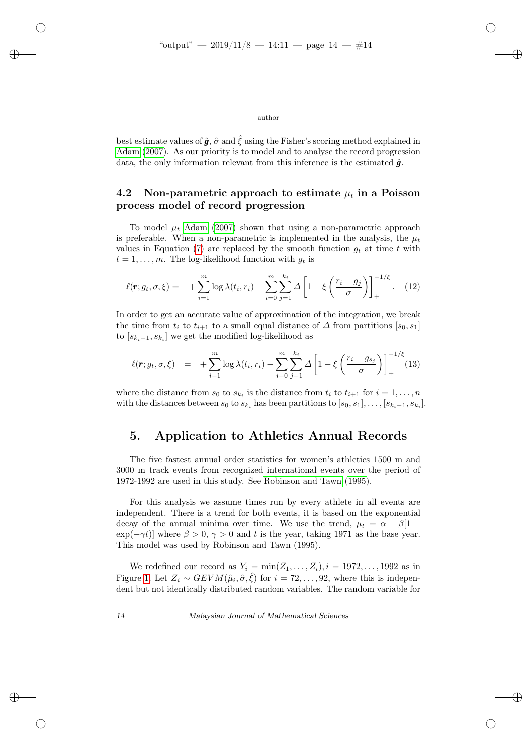✐

✐

✐

✐

✐

✐

✐

author

best estimate values of  $\hat{g}$ ,  $\hat{\sigma}$  and  $\hat{\xi}$  using the Fisher's scoring method explained in [Adam](#page-19-4) [\(2007\)](#page-19-4). As our priority is to model and to analyse the record progression data, the only information relevant from this inference is the estimated  $\hat{a}$ .

### 4.2 Non-parametric approach to estimate  $\mu_t$  in a Poisson process model of record progression

To model  $\mu_t$  [Adam](#page-19-4) [\(2007\)](#page-19-4) shown that using a non-parametric approach is preferable. When a non-parametric is implemented in the analysis, the  $\mu_t$ values in Equation [\(7\)](#page-8-1) are replaced by the smooth function  $g_t$  at time t with  $t = 1, \ldots, m$ . The log-likelihood function with  $g_t$  is

$$
\ell(\mathbf{r}; g_t, \sigma, \xi) = + \sum_{i=1}^m \log \lambda(t_i, r_i) - \sum_{i=0}^m \sum_{j=1}^{k_i} \Delta \left[ 1 - \xi \left( \frac{r_i - g_j}{\sigma} \right) \right]_+^{-1/\xi}.
$$
 (12)

In order to get an accurate value of approximation of the integration, we break the time from  $t_i$  to  $t_{i+1}$  to a small equal distance of  $\Delta$  from partitions [ $s_0, s_1$ ] to  $[s_{k_i-1}, s_{k_i}]$  we get the modified log-likelihood as

<span id="page-13-1"></span>
$$
\ell(\mathbf{r}; g_t, \sigma, \xi) = + \sum_{i=1}^m \log \lambda(t_i, r_i) - \sum_{i=0}^m \sum_{j=1}^{k_i} \Delta \left[ 1 - \xi \left( \frac{r_i - g_{s_j}}{\sigma} \right) \right]_+^{-1/\xi} (13)
$$

where the distance from  $s_0$  to  $s_{k_i}$  is the distance from  $t_i$  to  $t_{i+1}$  for  $i = 1, \ldots, n$ with the distances between  $s_0$  to  $s_{k_i}$  has been partitions to  $[s_0, s_1], \ldots, [s_{k_i-1}, s_{k_i}].$ 

### <span id="page-13-0"></span>5. Application to Athletics Annual Records

The five fastest annual order statistics for women's athletics 1500 m and 3000 m track events from recognized international events over the period of 1972-1992 are used in this study. See [Robinson and Tawn](#page-20-7) [\(1995\)](#page-20-7).

For this analysis we assume times run by every athlete in all events are independent. There is a trend for both events, it is based on the exponential decay of the annual minima over time. We use the trend,  $\mu_t = \alpha - \beta[1 - \alpha]$  $\exp(-\gamma t)$ ] where  $\beta > 0$ ,  $\gamma > 0$  and t is the year, taking 1971 as the base year. This model was used by Robinson and Tawn (1995).

We redefined our record as  $Y_i = \min(Z_1, \ldots, Z_i), i = 1972, \ldots, 1992$  as in Figure [1.](#page-2-0) Let  $Z_i \sim GEVM(\hat{\mu}_i, \hat{\sigma}, \hat{\xi})$  for  $i = 72, ..., 92$ , where this is independent but not identically distributed random variables. The random variable for

14 Malaysian Journal of Mathematical Sciences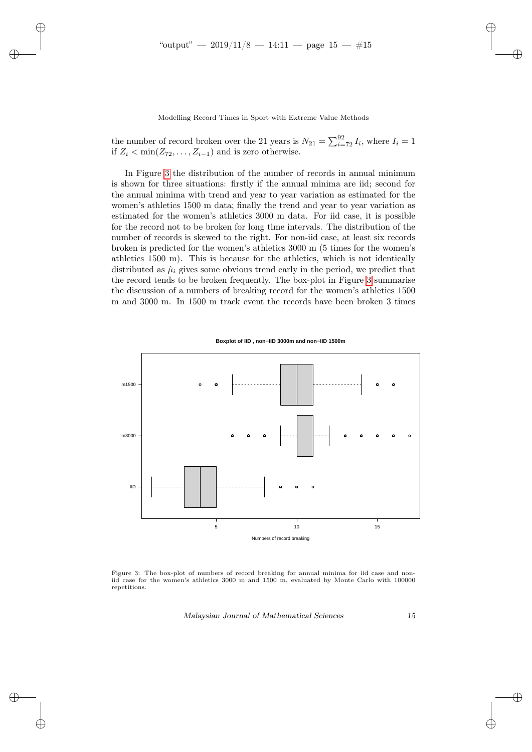✐

✐

✐

Modelling Record Times in Sport with Extreme Value Methods

the number of record broken over the 21 years is  $N_{21} = \sum_{i=72}^{92} I_i$ , where  $I_i = 1$ if  $Z_i < \min(Z_{72}, \ldots, Z_{i-1})$  and is zero otherwise.

In Figure [3](#page-14-0) the distribution of the number of records in annual minimum is shown for three situations: firstly if the annual minima are iid; second for the annual minima with trend and year to year variation as estimated for the women's athletics 1500 m data; finally the trend and year to year variation as estimated for the women's athletics 3000 m data. For iid case, it is possible for the record not to be broken for long time intervals. The distribution of the number of records is skewed to the right. For non-iid case, at least six records broken is predicted for the women's athletics 3000 m (5 times for the women's athletics 1500 m). This is because for the athletics, which is not identically distributed as  $\hat{\mu}_i$  gives some obvious trend early in the period, we predict that the record tends to be broken frequently. The box-plot in Figure [3](#page-14-0) summarise the discussion of a numbers of breaking record for the women's athletics 1500 m and 3000 m. In 1500 m track event the records have been broken 3 times

![](_page_14_Figure_4.jpeg)

<span id="page-14-0"></span>![](_page_14_Figure_5.jpeg)

Figure 3: The box-plot of numbers of record breaking for annual minima for iid case and noniid case for the women's athletics 3000 m and 1500 m, evaluated by Monte Carlo with 100000 repetitions.

Malaysian Journal of Mathematical Sciences 15

✐

✐

✐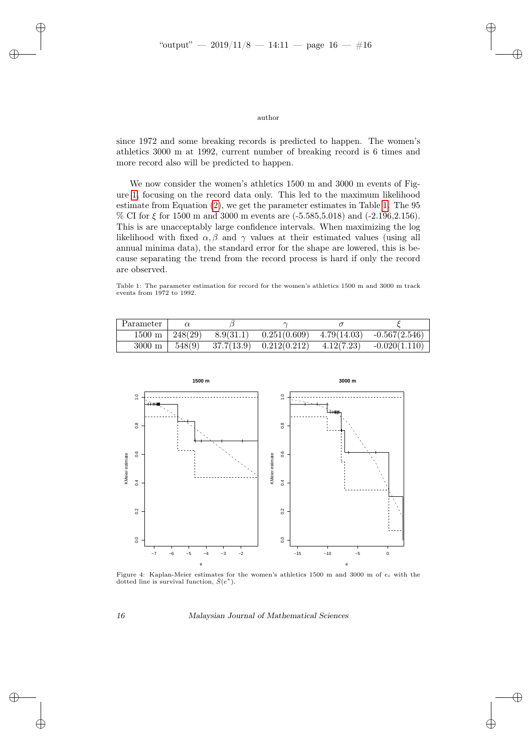author

since 1972 and some breaking records is predicted to happen. The women's athletics 3000 m at 1992, current number of breaking record is 6 times and more record also will be predicted to happen.

We now consider the women's athletics 1500 m and 3000 m events of Figure [1,](#page-2-0) focusing on the record data only. This led to the maximum likelihood estimate from Equation [\(2\)](#page-5-0), we get the parameter estimates in Table [1.](#page-15-0) The 95 % CI for  $\xi$  for 1500 m and 3000 m events are  $(-5.585, 5.018)$  and  $(-2.196, 2.156)$ . This is are unacceptably large confidence intervals. When maximizing the log likelihood with fixed  $\alpha, \beta$  and  $\gamma$  values at their estimated values (using all annual minima data), the standard error for the shape are lowered, this is because separating the trend from the record process is hard if only the record are observed.

<span id="page-15-0"></span>Table 1: The parameter estimation for record for the women's athletics 1500 m and 3000 m track events from 1972 to 1992.

| Parameter            |         |            |              |             |                 |
|----------------------|---------|------------|--------------|-------------|-----------------|
| $1500 \; \mathrm{m}$ | 248(29) | 8.9(31.1)  | 0.251(0.609) | 4.79(14.03) | $-0.567(2.546)$ |
| $3000 \text{ m}$     | 548(9)  | 37.7(13.9) | 0.212(0.212) | 4.12(7.23)  | $-0.020(1.110)$ |

<span id="page-15-1"></span>![](_page_15_Figure_6.jpeg)

Figure 4: Kaplan-Meier estimates for the women's athletics 1500 m and 3000 m of  $e_i$  with the dotted line is survival function,  $\hat{S}(e^*)$ .

✐

✐

✐

✐

### 16 Malaysian Journal of Mathematical Sciences

✐

✐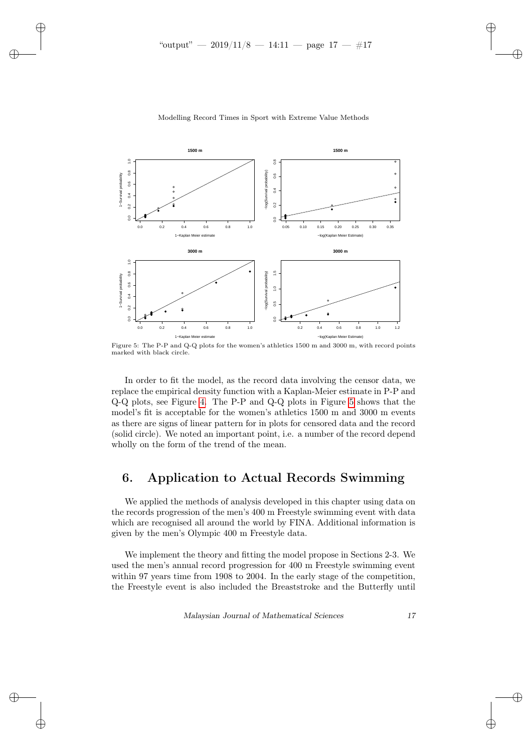✐

✐

✐

<span id="page-16-1"></span>![](_page_16_Figure_1.jpeg)

#### Modelling Record Times in Sport with Extreme Value Methods

Figure 5: The P-P and Q-Q plots for the women's athletics 1500 m and 3000 m, with record points marked with black circle.

In order to fit the model, as the record data involving the censor data, we replace the empirical density function with a Kaplan-Meier estimate in P-P and Q-Q plots, see Figure [4.](#page-15-1) The P-P and Q-Q plots in Figure [5](#page-16-1) shows that the model's fit is acceptable for the women's athletics 1500 m and 3000 m events as there are signs of linear pattern for in plots for censored data and the record (solid circle). We noted an important point, i.e. a number of the record depend wholly on the form of the trend of the mean.

## <span id="page-16-0"></span>6. Application to Actual Records Swimming

We applied the methods of analysis developed in this chapter using data on the records progression of the men's 400 m Freestyle swimming event with data which are recognised all around the world by FINA. Additional information is given by the men's Olympic 400 m Freestyle data.

We implement the theory and fitting the model propose in Sections 2-3. We used the men's annual record progression for 400 m Freestyle swimming event within 97 years time from 1908 to 2004. In the early stage of the competition, the Freestyle event is also included the Breaststroke and the Butterfly until

Malaysian Journal of Mathematical Sciences 17

✐

✐

✐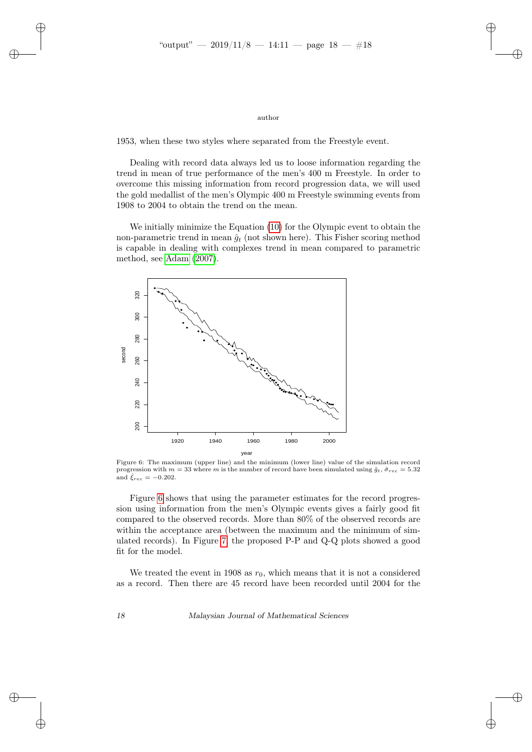✐

✐

✐

#### author

1953, when these two styles where separated from the Freestyle event.

Dealing with record data always led us to loose information regarding the trend in mean of true performance of the men's 400 m Freestyle. In order to overcome this missing information from record progression data, we will used the gold medallist of the men's Olympic 400 m Freestyle swimming events from 1908 to 2004 to obtain the trend on the mean.

We initially minimize the Equation [\(10\)](#page-12-0) for the Olympic event to obtain the non-parametric trend in mean  $\hat{g}_t$  (not shown here). This Fisher scoring method is capable in dealing with complexes trend in mean compared to parametric method, see [Adam](#page-19-4) [\(2007\)](#page-19-4).

<span id="page-17-0"></span>![](_page_17_Figure_6.jpeg)

Figure 6: The maximum (upper line) and the minimum (lower line) value of the simulation record progression with  $m = 33$  where m is the number of record have been simulated using  $\hat{q}_t$ ,  $\hat{\sigma}_{rec} = 5.32$ and  $\hat{\xi}_{rec} = -0.202$ .

Figure [6](#page-17-0) shows that using the parameter estimates for the record progression using information from the men's Olympic events gives a fairly good fit compared to the observed records. More than 80% of the observed records are within the acceptance area (between the maximum and the minimum of simulated records). In Figure [7,](#page-18-0) the proposed P-P and Q-Q plots showed a good fit for the model.

We treated the event in 1908 as  $r_0$ , which means that it is not a considered as a record. Then there are 45 record have been recorded until 2004 for the

18 Malaysian Journal of Mathematical Sciences

✐

✐

✐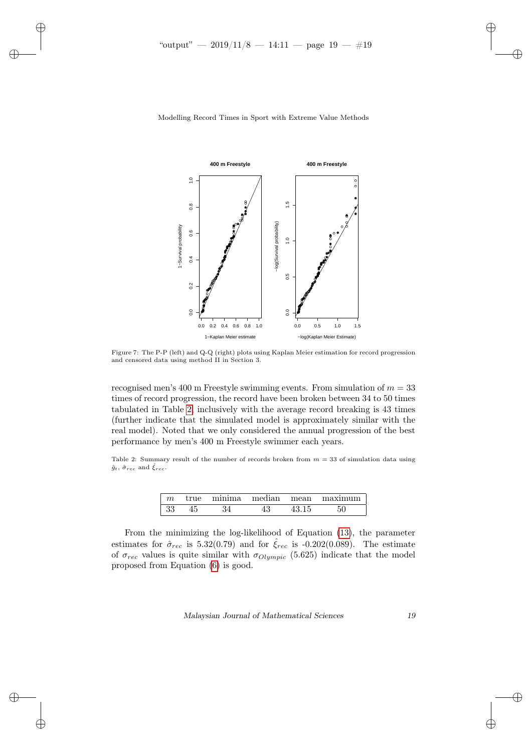✐

✐

✐

![](_page_18_Figure_1.jpeg)

<span id="page-18-0"></span>Modelling Record Times in Sport with Extreme Value Methods

Figure 7: The P-P (left) and Q-Q (right) plots using Kaplan Meier estimation for record progression and censored data using method II in Section 3.

recognised men's 400 m Freestyle swimming events. From simulation of  $m = 33$ times of record progression, the record have been broken between 34 to 50 times tabulated in Table [2,](#page-18-1) inclusively with the average record breaking is 43 times (further indicate that the simulated model is approximately similar with the real model). Noted that we only considered the annual progression of the best performance by men's 400 m Freestyle swimmer each years.

<span id="page-18-1"></span>Table 2: Summary result of the number of records broken from  $m = 33$  of simulation data using  $\hat{g}_t$ ,  $\hat{\sigma}_{rec}$  and  $\hat{\xi}_{rec}$ .

| m  | true | minima | median | mean | maximiim |
|----|------|--------|--------|------|----------|
| 33 |      |        |        |      |          |

From the minimizing the log-likelihood of Equation [\(13\)](#page-13-1), the parameter estimates for  $\hat{\sigma}_{rec}$  is 5.32(0.79) and for  $\hat{\xi}_{rec}$  is -0.202(0.089). The estimate of  $\sigma_{rec}$  values is quite similar with  $\sigma_{Olympic}$  (5.625) indicate that the model proposed from Equation [\(6\)](#page-8-0) is good.

Malaysian Journal of Mathematical Sciences 19

✐

✐

✐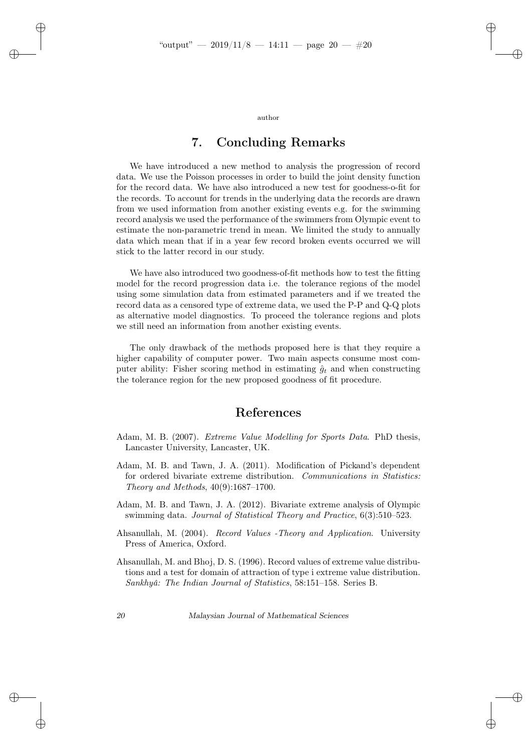✐

✐

✐

author

## 7. Concluding Remarks

We have introduced a new method to analysis the progression of record data. We use the Poisson processes in order to build the joint density function for the record data. We have also introduced a new test for goodness-o-fit for the records. To account for trends in the underlying data the records are drawn from we used information from another existing events e.g. for the swimming record analysis we used the performance of the swimmers from Olympic event to estimate the non-parametric trend in mean. We limited the study to annually data which mean that if in a year few record broken events occurred we will stick to the latter record in our study.

We have also introduced two goodness-of-fit methods how to test the fitting model for the record progression data i.e. the tolerance regions of the model using some simulation data from estimated parameters and if we treated the record data as a censored type of extreme data, we used the P-P and Q-Q plots as alternative model diagnostics. To proceed the tolerance regions and plots we still need an information from another existing events.

The only drawback of the methods proposed here is that they require a higher capability of computer power. Two main aspects consume most computer ability: Fisher scoring method in estimating  $\hat{g}_t$  and when constructing the tolerance region for the new proposed goodness of fit procedure.

## References

- <span id="page-19-4"></span>Adam, M. B. (2007). *Extreme Value Modelling for Sports Data*. PhD thesis, Lancaster University, Lancaster, UK.
- <span id="page-19-2"></span>Adam, M. B. and Tawn, J. A. (2011). Modification of Pickand's dependent for ordered bivariate extreme distribution. Communications in Statistics: Theory and Methods, 40(9):1687–1700.
- <span id="page-19-3"></span>Adam, M. B. and Tawn, J. A. (2012). Bivariate extreme analysis of Olympic swimming data. Journal of Statistical Theory and Practice, 6(3):510–523.
- <span id="page-19-0"></span>Ahsanullah, M. (2004). Record Values -Theory and Application. University Press of America, Oxford.
- <span id="page-19-1"></span>Ahsanullah, M. and Bhoj, D. S. (1996). Record values of extreme value distributions and a test for domain of attraction of type i extreme value distribution. Sankhyâ: The Indian Journal of Statistics, 58:151–158. Series B.

✐

✐

✐

✐

20 Malaysian Journal of Mathematical Sciences